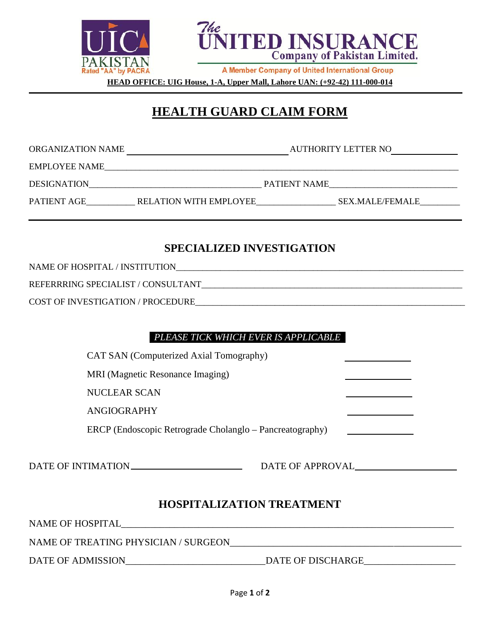



A Member Company of United International Group

**HEAD OFFICE: UIG House, 1-A, Upper Mall, Lahore UAN: (+92-42) 111-000-014**

# **HEALTH GUARD CLAIM FORM**

ORGANIZATION NAME AUTHORITY LETTER NO

EMPLOYEE NAME

DESIGNATION PATIENT NAME

PATIENT AGE \_\_\_\_\_\_\_\_\_\_\_\_\_ RELATION WITH EMPLOYEE \_\_\_\_\_\_\_\_\_\_\_\_\_\_\_\_\_\_\_\_\_\_\_\_\_\_\_\_\_\_\_\_ SEX.MALE/FEMALE

## **SPECIALIZED INVESTIGATION**

NAME OF HOSPITAL / INSTITUTION

REFERRRING SPECIALIST / CONSULTANT

COST OF INVESTIGATION / PROCEDURE

## *PLEASE TICK WHICH EVER IS APPLICABLE .*

CAT SAN (Computerized Axial Tomography)

MRI (Magnetic Resonance Imaging)

NUCLEAR SCAN

ANGIOGRAPHY

ERCP (Endoscopic Retrograde Cholanglo – Pancreatography)

DATE OF INTIMATION DATE OF APPROVAL

## **HOSPITALIZATION TREATMENT**

NAME OF HOSPITAL

NAME OF TREATING PHYSICIAN / SURGEON\_\_\_\_\_\_\_\_\_\_\_\_\_\_\_\_\_\_\_\_\_\_\_\_\_\_\_\_\_\_\_\_\_\_\_\_\_\_\_\_\_\_\_\_\_\_\_\_

DATE OF ADMISSION DATE OF DISCHARGE